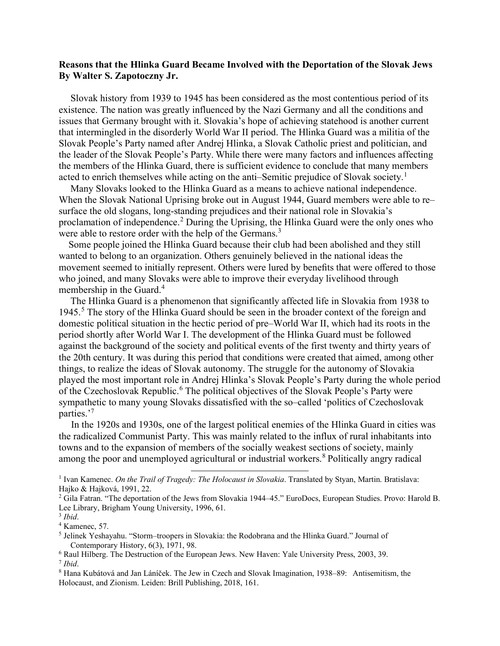## **Reasons that the Hlinka Guard Became Involved with the Deportation of the Slovak Jews By Walter S. Zapotoczny Jr.**

Slovak history from 1939 to 1945 has been considered as the most contentious period of its existence. The nation was greatly influenced by the Nazi Germany and all the conditions and issues that Germany brought with it. Slovakia's hope of achieving statehood is another current that intermingled in the disorderly World War II period. The Hlinka Guard was a militia of the Slovak People's Party named after Andrej Hlinka, a Slovak Catholic priest and politician, and the leader of the Slovak People's Party. While there were many factors and influences affecting the members of the Hlinka Guard, there is sufficient evidence to conclude that many members acted to enrich themselves while acting on the anti-Semitic prejudice of Slovak society.<sup>[1](#page-0-0)</sup>

Many Slovaks looked to the Hlinka Guard as a means to achieve national independence. When the Slovak National Uprising broke out in August 1944, Guard members were able to re– surface the old slogans, long-standing prejudices and their national role in Slovakia's proclamation of independence.<sup>[2](#page-0-1)</sup> During the Uprising, the Hlinka Guard were the only ones who were able to restore order with the help of the Germans.<sup>[3](#page-0-2)</sup>

 Some people joined the Hlinka Guard because their club had been abolished and they still wanted to belong to an organization. Others genuinely believed in the national ideas the movement seemed to initially represent. Others were lured by benefits that were offered to those who joined, and many Slovaks were able to improve their everyday livelihood through membership in the Guard. [4](#page-0-3)

The Hlinka Guard is a phenomenon that significantly affected life in Slovakia from 1938 to 194[5](#page-0-4).<sup>5</sup> The story of the Hlinka Guard should be seen in the broader context of the foreign and domestic political situation in the hectic period of pre–World War II, which had its roots in the period shortly after World War I. The development of the Hlinka Guard must be followed against the background of the society and political events of the first twenty and thirty years of the 20th century. It was during this period that conditions were created that aimed, among other things, to realize the ideas of Slovak autonomy. The struggle for the autonomy of Slovakia played the most important role in Andrej Hlinka's Slovak People's Party during the whole period of the Czechoslovak Republic.<sup>[6](#page-0-5)</sup> The political objectives of the Slovak People's Party were sympathetic to many young Slovaks dissatisfied with the so–called 'politics of Czechoslovak parties.'[7](#page-0-6)

 In the 1920s and 1930s, one of the largest political enemies of the Hlinka Guard in cities was the radicalized Communist Party. This was mainly related to the influx of rural inhabitants into towns and to the expansion of members of the socially weakest sections of society, mainly among the poor and unemployed agricultural or industrial workers.<sup>[8](#page-0-7)</sup> Politically angry radical

<span id="page-0-0"></span><sup>1</sup> Ivan Kamenec. *On the Trail of Tragedy: The Holocaust in Slovakia*. Translated by Styan, Martin. Bratislava: Hajko & Hajková, 1991, 22.

<span id="page-0-1"></span><sup>2</sup> Gila Fatran. "The deportation of the Jews from Slovakia 1944–45." EuroDocs, European Studies. Provo: Harold B. Lee Library, Brigham Young University, 1996, 61.

<span id="page-0-2"></span><sup>3</sup> *Ibid*.

<span id="page-0-3"></span><sup>4</sup> Kamenec, 57.

<span id="page-0-4"></span><sup>5</sup> Jelinek Yeshayahu. "Storm–troopers in Slovakia: the Rodobrana and the Hlinka Guard." Journal of Contemporary History, 6(3), 1971, 98.

<span id="page-0-6"></span><span id="page-0-5"></span><sup>6</sup> Raul Hilberg. The Destruction of the European Jews. New Haven: Yale University Press, 2003, 39. <sup>7</sup> *Ibid*.

<span id="page-0-7"></span><sup>8</sup> Hana Kubátová and Jan Láníček. The Jew in Czech and Slovak Imagination, 1938–89: Antisemitism, the Holocaust, and Zionism. Leiden: Brill Publishing, 2018, 161.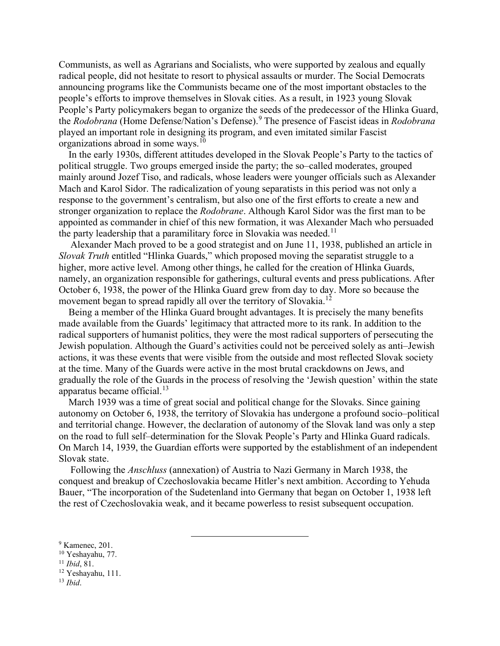Communists, as well as Agrarians and Socialists, who were supported by zealous and equally radical people, did not hesitate to resort to physical assaults or murder. The Social Democrats announcing programs like the Communists became one of the most important obstacles to the people's efforts to improve themselves in Slovak cities. As a result, in 1923 young Slovak People's Party policymakers began to organize the seeds of the predecessor of the Hlinka Guard, the *Rodobrana* (Home Defense/Nation's Defense).[9](#page-1-0) The presence of Fascist ideas in *Rodobrana* played an important role in designing its program, and even imitated similar Fascist organizations abroad in some ways.<sup>[10](#page-1-1)</sup>

 In the early 1930s, different attitudes developed in the Slovak People's Party to the tactics of political struggle. Two groups emerged inside the party; the so–called moderates, grouped mainly around Jozef Tiso, and radicals, whose leaders were younger officials such as Alexander Mach and Karol Sidor. The radicalization of young separatists in this period was not only a response to the government's centralism, but also one of the first efforts to create a new and stronger organization to replace the *Rodobrane*. Although Karol Sidor was the first man to be appointed as commander in chief of this new formation, it was Alexander Mach who persuaded the party leadership that a paramilitary force in Slovakia was needed.<sup>11</sup>

Alexander Mach proved to be a good strategist and on June 11, 1938, published an article in *Slovak Truth* entitled "Hlinka Guards," which proposed moving the separatist struggle to a higher, more active level. Among other things, he called for the creation of Hlinka Guards, namely, an organization responsible for gatherings, cultural events and press publications. After October 6, 1938, the power of the Hlinka Guard grew from day to day. More so because the movement began to spread rapidly all over the territory of Slovakia.<sup>[12](#page-1-3)</sup>

 Being a member of the Hlinka Guard brought advantages. It is precisely the many benefits made available from the Guards' legitimacy that attracted more to its rank. In addition to the radical supporters of humanist politics, they were the most radical supporters of persecuting the Jewish population. Although the Guard's activities could not be perceived solely as anti–Jewish actions, it was these events that were visible from the outside and most reflected Slovak society at the time. Many of the Guards were active in the most brutal crackdowns on Jews, and gradually the role of the Guards in the process of resolving the 'Jewish question' within the state apparatus became official.<sup>[13](#page-1-4)</sup>

 March 1939 was a time of great social and political change for the Slovaks. Since gaining autonomy on October 6, 1938, the territory of Slovakia has undergone a profound socio–political and territorial change. However, the declaration of autonomy of the Slovak land was only a step on the road to full self–determination for the Slovak People's Party and Hlinka Guard radicals. On March 14, 1939, the Guardian efforts were supported by the establishment of an independent Slovak state.

Following the *Anschluss* (annexation) of Austria to Nazi Germany in March 1938, the conquest and breakup of Czechoslovakia became Hitler's next ambition. According to Yehuda Bauer, "The incorporation of the Sudetenland into Germany that began on October 1, 1938 left the rest of Czechoslovakia weak, and it became powerless to resist subsequent occupation.

<span id="page-1-3"></span><sup>12</sup> Yeshayahu, 111.

<span id="page-1-0"></span><sup>&</sup>lt;sup>9</sup> Kamenec, 201.

<span id="page-1-1"></span><sup>10</sup> Yeshayahu, 77.

<span id="page-1-2"></span><sup>11</sup> *Ibid*, 81.

<span id="page-1-4"></span><sup>13</sup> *Ibid*.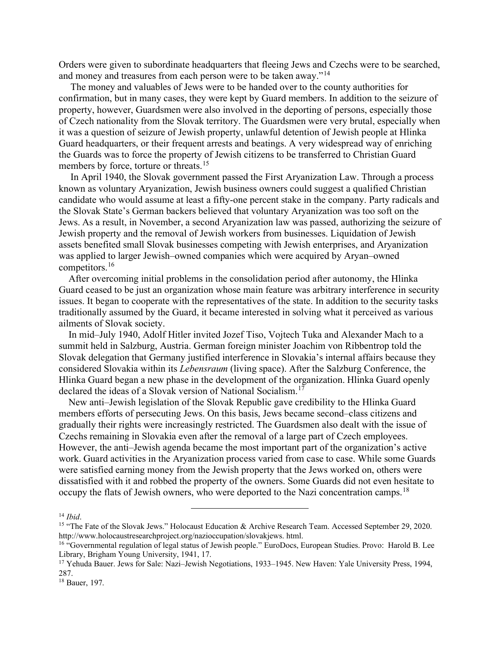Orders were given to subordinate headquarters that fleeing Jews and Czechs were to be searched, and money and treasures from each person were to be taken away."<sup>[14](#page-2-0)</sup>

The money and valuables of Jews were to be handed over to the county authorities for confirmation, but in many cases, they were kept by Guard members. In addition to the seizure of property, however, Guardsmen were also involved in the deporting of persons, especially those of Czech nationality from the Slovak territory. The Guardsmen were very brutal, especially when it was a question of seizure of Jewish property, unlawful detention of Jewish people at Hlinka Guard headquarters, or their frequent arrests and beatings. A very widespread way of enriching the Guards was to force the property of Jewish citizens to be transferred to Christian Guard members by force, torture or threats.<sup>[15](#page-2-1)</sup>

In April 1940, the Slovak government passed the First Aryanization Law. Through a process known as voluntary Aryanization, Jewish business owners could suggest a qualified Christian candidate who would assume at least a fifty-one percent stake in the company. Party radicals and the Slovak State's German backers believed that voluntary Aryanization was too soft on the Jews. As a result, in November, a second Aryanization law was passed, authorizing the seizure of Jewish property and the removal of Jewish workers from businesses. Liquidation of Jewish assets benefited small Slovak businesses competing with Jewish enterprises, and Aryanization was applied to larger Jewish–owned companies which were acquired by Aryan–owned competitors.[16](#page-2-2)

 After overcoming initial problems in the consolidation period after autonomy, the Hlinka Guard ceased to be just an organization whose main feature was arbitrary interference in security issues. It began to cooperate with the representatives of the state. In addition to the security tasks traditionally assumed by the Guard, it became interested in solving what it perceived as various ailments of Slovak society.

 In mid–July 1940, Adolf Hitler invited Jozef Tiso, Vojtech Tuka and Alexander Mach to a summit held in Salzburg, Austria. German foreign minister Joachim von Ribbentrop told the Slovak delegation that Germany justified interference in Slovakia's internal affairs because they considered Slovakia within its *Lebensraum* (living space). After the Salzburg Conference, the Hlinka Guard began a new phase in the development of the organization. Hlinka Guard openly declared the ideas of a Slovak version of National Socialism.<sup>[17](#page-2-3)</sup>

 New anti–Jewish legislation of the Slovak Republic gave credibility to the Hlinka Guard members efforts of persecuting Jews. On this basis, Jews became second–class citizens and gradually their rights were increasingly restricted. The Guardsmen also dealt with the issue of Czechs remaining in Slovakia even after the removal of a large part of Czech employees. However, the anti–Jewish agenda became the most important part of the organization's active work. Guard activities in the Aryanization process varied from case to case. While some Guards were satisfied earning money from the Jewish property that the Jews worked on, others were dissatisfied with it and robbed the property of the owners. Some Guards did not even hesitate to occupy the flats of Jewish owners, who were deported to the Nazi concentration camps.<sup>[18](#page-2-4)</sup>

<span id="page-2-0"></span><sup>14</sup> *Ibid*.

<span id="page-2-1"></span><sup>&</sup>lt;sup>15</sup> "The Fate of the Slovak Jews." Holocaust Education & Archive Research Team. Accessed September 29, 2020. http://www.holocaustresearchproject.org/nazioccupation/slovakjews. html.

<span id="page-2-2"></span><sup>&</sup>lt;sup>16</sup> "Governmental regulation of legal status of Jewish people." EuroDocs, European Studies. Provo: Harold B. Lee Library, Brigham Young University, 1941, 17.

<span id="page-2-3"></span><sup>&</sup>lt;sup>17</sup> Yehuda Bauer. Jews for Sale: Nazi–Jewish Negotiations, 1933–1945. New Haven: Yale University Press, 1994, 287.

<span id="page-2-4"></span><sup>18</sup> Bauer, 197.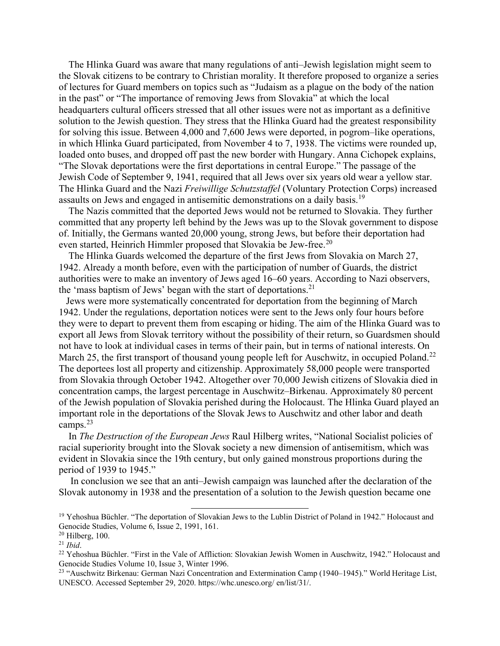The Hlinka Guard was aware that many regulations of anti–Jewish legislation might seem to the Slovak citizens to be contrary to Christian morality. It therefore proposed to organize a series of lectures for Guard members on topics such as "Judaism as a plague on the body of the nation in the past" or "The importance of removing Jews from Slovakia" at which the local headquarters cultural officers stressed that all other issues were not as important as a definitive solution to the Jewish question. They stress that the Hlinka Guard had the greatest responsibility for solving this issue. Between 4,000 and 7,600 Jews were deported, in pogrom–like operations, in which Hlinka Guard participated, from November 4 to 7, 1938. The victims were rounded up, loaded onto buses, and dropped off past the new border with Hungary. Anna Cichopek explains, "The Slovak deportations were the first deportations in central Europe." The passage of the Jewish Code of September 9, 1941, required that all Jews over six years old wear a yellow star. The Hlinka Guard and the Nazi *Freiwillige Schutzstaffel* (Voluntary Protection Corps) increased assaults on Jews and engaged in antisemitic demonstrations on a daily basis.<sup>[19](#page-3-0)</sup>

 The Nazis committed that the deported Jews would not be returned to Slovakia. They further committed that any property left behind by the Jews was up to the Slovak government to dispose of. Initially, the Germans wanted 20,000 young, strong Jews, but before their deportation had even started, Heinrich Himmler proposed that Slovakia be Jew-free.<sup>[20](#page-3-1)</sup>

 The Hlinka Guards welcomed the departure of the first Jews from Slovakia on March 27, 1942. Already a month before, even with the participation of number of Guards, the district authorities were to make an inventory of Jews aged 16–60 years. According to Nazi observers, the 'mass baptism of Jews' began with the start of deportations.<sup>[21](#page-3-2)</sup>

 Jews were more systematically concentrated for deportation from the beginning of March 1942. Under the regulations, deportation notices were sent to the Jews only four hours before they were to depart to prevent them from escaping or hiding. The aim of the Hlinka Guard was to export all Jews from Slovak territory without the possibility of their return, so Guardsmen should not have to look at individual cases in terms of their pain, but in terms of national interests. On March 25, the first transport of thousand young people left for Auschwitz, in occupied Poland.<sup>[22](#page-3-3)</sup> The deportees lost all property and citizenship. Approximately 58,000 people were transported from Slovakia through October 1942. Altogether over 70,000 Jewish citizens of Slovakia died in concentration camps, the largest percentage in Auschwitz–Birkenau. Approximately 80 percent of the Jewish population of Slovakia perished during the Holocaust. The Hlinka Guard played an important role in the deportations of the Slovak Jews to Auschwitz and other labor and death camps. $^{23}$  $^{23}$  $^{23}$ 

 In *The Destruction of the European Jews* Raul Hilberg writes, "National Socialist policies of racial superiority brought into the Slovak society a new dimension of antisemitism, which was evident in Slovakia since the 19th century, but only gained monstrous proportions during the period of 1939 to 1945."

In conclusion we see that an anti–Jewish campaign was launched after the declaration of the Slovak autonomy in 1938 and the presentation of a solution to the Jewish question became one

<span id="page-3-0"></span><sup>&</sup>lt;sup>19</sup> Yehoshua Büchler. "The deportation of Slovakian Jews to the Lublin District of Poland in 1942." Holocaust and Genocide Studies, Volume 6, Issue 2, 1991, 161.

<span id="page-3-1"></span><sup>20</sup> Hilberg, 100.

<span id="page-3-2"></span><sup>21</sup> *Ibid*.

<span id="page-3-3"></span><sup>&</sup>lt;sup>22</sup> Yehoshua Büchler. "First in the Vale of Affliction: Slovakian Jewish Women in Auschwitz, 1942." Holocaust and Genocide Studies Volume 10, Issue 3, Winter 1996.

<span id="page-3-4"></span><sup>&</sup>lt;sup>23</sup> "Auschwitz Birkenau: German Nazi Concentration and Extermination Camp (1940–1945)." World Heritage List, UNESCO. Accessed September 29, 2020. https://whc.unesco.org/ en/list/31/.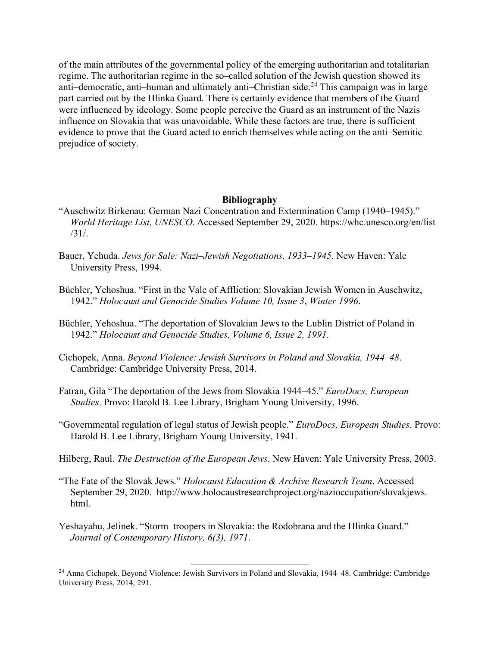of the main attributes of the governmental policy of the emerging authoritarian and totalitarian regime. The authoritarian regime in the so–called solution of the Jewish question showed its anti–democratic, anti–human and ultimately anti–Christian side.<sup>[24](#page-4-0)</sup> This campaign was in large part carried out by the Hlinka Guard. There is certainly evidence that members of the Guard were influenced by ideology. Some people perceive the Guard as an instrument of the Nazis influence on Slovakia that was unavoidable. While these factors are true, there is sufficient evidence to prove that the Guard acted to enrich themselves while acting on the anti–Semitic prejudice of society.

## **Bibliography**

- "Auschwitz Birkenau: German Nazi Concentration and Extermination Camp (1940–1945)." *World Heritage List, UNESCO*. Accessed September 29, 2020. https://whc.unesco.org/en/list /31/.
- Bauer, Yehuda. *Jews for Sale: Nazi–Jewish Negotiations, 1933–1945*. New Haven: Yale University Press, 1994.
- Büchler, Yehoshua. "First in the Vale of Affliction: Slovakian Jewish Women in Auschwitz, 1942." *Holocaust and Genocide Studies Volume 10, Issue 3*, *Winter 1996*.
- Büchler, Yehoshua. "The deportation of Slovakian Jews to the Lublin District of Poland in 1942." *Holocaust and Genocide Studies, Volume 6, Issue 2, 1991*.
- Cichopek, Anna. *Beyond Violence: Jewish Survivors in Poland and Slovakia, 1944–48*. Cambridge: Cambridge University Press, 2014.
- Fatran, Gila "The deportation of the Jews from Slovakia 1944–45." *EuroDocs, European Studies*. Provo: Harold B. Lee Library, Brigham Young University, 1996.
- "Governmental regulation of legal status of Jewish people." *EuroDocs, European Studies*. Provo: Harold B. Lee Library, Brigham Young University, 1941.
- Hilberg, Raul. *The Destruction of the European Jews*. New Haven: Yale University Press, 2003.
- "The Fate of the Slovak Jews." *Holocaust Education & Archive Research Team*. Accessed September 29, 2020. http://www.holocaustresearchproject.org/nazioccupation/slovakjews. html.
- Yeshayahu, Jelinek. "Storm–troopers in Slovakia: the Rodobrana and the Hlinka Guard." *Journal of Contemporary History, 6(3), 1971*.

<span id="page-4-0"></span><sup>&</sup>lt;sup>24</sup> Anna Cichopek. Beyond Violence: Jewish Survivors in Poland and Slovakia, 1944–48. Cambridge: Cambridge University Press, 2014, 291.